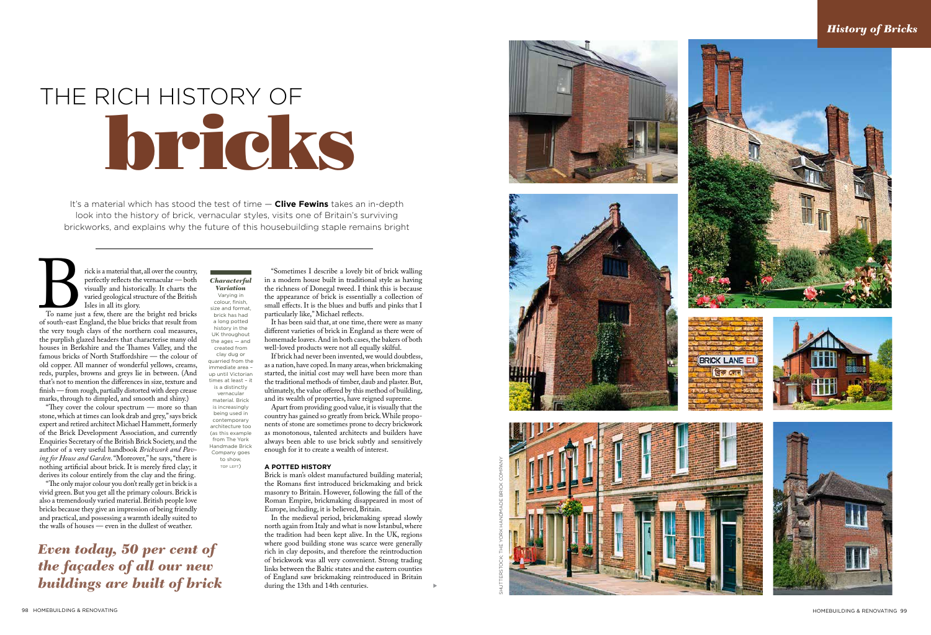It's a material which has stood the test of time — **Clive Fewins** takes an in-depth look into the history of brick, vernacular styles, visits one of Britain's surviving brickworks, and explains why the future of this housebuilding staple remains bright

Fick is a material that, all over the country,<br>perfectly reflects the vernacular — both<br>visually and historically. It charts the<br>varied geological structure of the British<br>Isles in all its glory.<br>To name just a few, there perfectly reflects the vernacular — both visually and historically. It charts the varied geological structure of the British Isles in all its glory.

To name just a few, there are the bright red bricks of south-east England, the blue bricks that result from the purplish glazed headers that characterise many old houses in Berkshire and the Thames Valley, and the famous bricks of North Staffordshire — the colour of old copper. All manner of wonderful yellows, creams, reds, purples, browns and greys lie in between. (And that's not to mention the differences in size, texture and finish — from rough, partially distorted with deep crease marks, through to dimpled, and smooth and shiny.)

# bricks THE RICH HISTORY OF

size and format brick has had a long potted history in the<br>UK throughout the ages — and created from clay dug or quarried from the immediate area – up until Victorian times at least – it is a distinctly vernacular

"They cover the colour spectrum — more so than stone, which at times can look drab and grey," says brick expert and retired architect Michael Hammett, formerly of the Brick Development Association, and currently Enquiries Secretary of the British Brick Society, and the author of a very useful handbook *Brickwork and Pav ing for House and Garden*. "Moreover," he says, "there is nothing artificial about brick. It is merely fired clay; it derives its colour entirely from the clay and the firing.

"The only major colour you don't really get in brick is a vivid green. But you get all the primary colours. Brick is also a tremendously varied material. British people love bricks because they give an impression of being friendly and practical, and possessing a warmth ideally suited to the walls of houses — even in the dullest of weather.

s

*Characterful Variation* Varying in colour, finish,

material. Brick is increasingly being used in contemporary architecture too (as this example from The York Handmade Brick Company goes to show, top left )

"Sometimes I describe a lovely bit of brick walling in a modern house built in traditional style as having the richness of Donegal tweed. I think this is because the appearance of brick is essentially a collection of small effects. It is the blues and buffs and pinks that I particularly like," Michael reflects.

It has been said that, at one time, there were as many different varieties of brick in England as there were of homemade loaves. And in both cases, the bakers of both well-loved products were not all equally skilful.

If brick had never been invented, we would doubtless, as a nation, have coped. In many areas, when brickmaking started, the initial cost may well have been more than the traditional methods of timber, daub and plaster. But, ultimately, the value offered by this method of building, and its wealth of properties, have reigned supreme.

Apart from providing good value, it is visually that the country has gained so greatly from brick. While propo nents of stone are sometimes prone to decry brickwork as monotonous, talented architects and builders have always been able to use brick subtly and sensitively enough for it to create a wealth of interest.

#### **A potted history**

Brick is man's oldest manufactured building material; the Romans first introduced brickmaking and brick masonry to Britain. However, following the fall of the Roman Empire, brickmaking disappeared in most of Europe, including, it is believed, Britain.

In the medieval period, brickmaking spread slowly north again from Italy and what is now Istanbul, where the tradition had been kept alive. In the UK, regions where good building stone was scarce were generally rich in clay deposits, and therefore the reintroduction of brickwork was all very convenient. Strong trading links between the Baltic states and the eastern counties of England saw brickmaking reintroduced in Britain during the 13th and 14th centuries.

*Even today, 50 per cent of the façades of all our new buildings are built of brick* shutterstock; the york handmade brick company





### *History of Bricks*







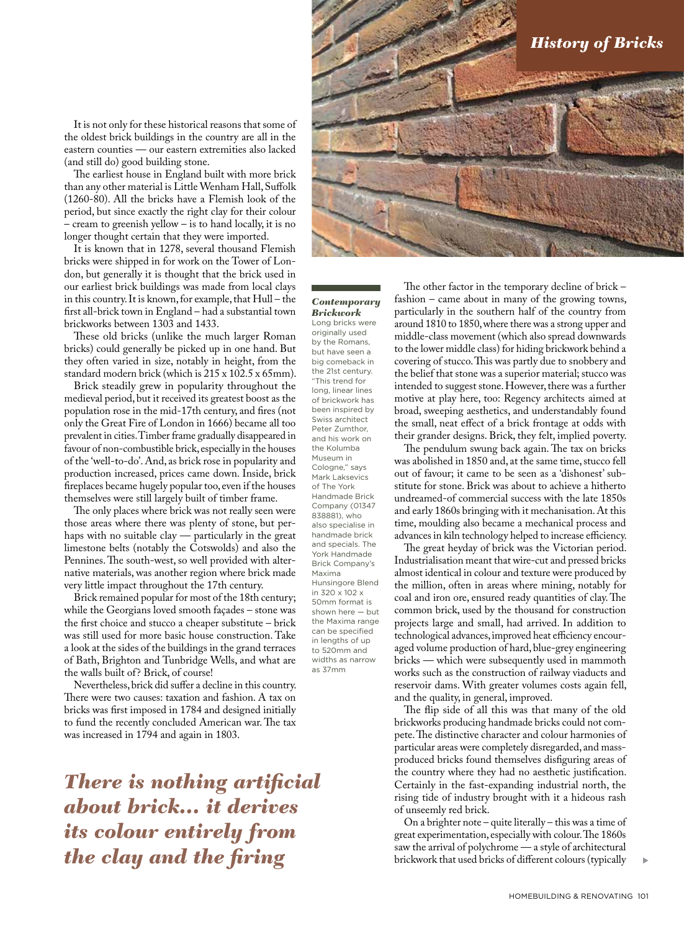It is not only for these historical reasons that some of the oldest brick buildings in the country are all in the eastern counties — our eastern extremities also lacked (and still do) good building stone.

The earliest house in England built with more brick than any other material is Little Wenham Hall, Suffolk (1260-80). All the bricks have a Flemish look of the period, but since exactly the right clay for their colour – cream to greenish yellow – is to hand locally, it is no longer thought certain that they were imported.

It is known that in 1278, several thousand Flemish bricks were shipped in for work on the Tower of London, but generally it is thought that the brick used in our earliest brick buildings was made from local clays in this country. It is known, for example, that Hull – the first all-brick town in England – had a substantial town brickworks between 1303 and 1433.

These old bricks (unlike the much larger Roman bricks) could generally be picked up in one hand. But they often varied in size, notably in height, from the standard modern brick (which is 215 x 102.5 x 65mm).

Brick steadily grew in popularity throughout the medieval period, but it received its greatest boost as the population rose in the mid-17th century, and fires (not only the Great Fire of London in 1666) became all too prevalent in cities. Timber frame gradually disappeared in favour of non-combustible brick, especially in the houses of the 'well-to-do'. And, as brick rose in popularity and production increased, prices came down. Inside, brick fireplaces became hugely popular too, even if the houses themselves were still largely built of timber frame.

The only places where brick was not really seen were those areas where there was plenty of stone, but perhaps with no suitable clay — particularly in the great limestone belts (notably the Cotswolds) and also the Pennines. The south-west, so well provided with alternative materials, was another region where brick made very little impact throughout the 17th century.

Brick remained popular for most of the 18th century; while the Georgians loved smooth façades – stone was the first choice and stucco a cheaper substitute – brick was still used for more basic house construction. Take a look at the sides of the buildings in the grand terraces of Bath, Brighton and Tunbridge Wells, and what are the walls built of? Brick, of course!

Nevertheless, brick did suffer a decline in this country. There were two causes: taxation and fashion. A tax on bricks was first imposed in 1784 and designed initially to fund the recently concluded American war. The tax was increased in 1794 and again in 1803.

*There is nothing artificial about brick… it derives its colour entirely from the clay and the firing* 



#### *Contemporary Brickwork*

Long bricks were originally used by the Romans, but have seen a big comeback in the 21st century. "This trend for long, linear lines of brickwork has been inspired by Swiss architect Peter Zumthor, and his work on the Kolumba Museum in Cologne," says Mark Laksevics of The York Handmade Brick Company (01347 838881), who also specialise in handmade brick and specials. The York Handmade Brick Company's Maxima Hunsingore Blend in 320 x 102 x 50mm format is shown here — but the Maxima range can be specified in lengths of up to 520mm and widths as narrow as 37mm

The other factor in the temporary decline of brick – fashion – came about in many of the growing towns, particularly in the southern half of the country from around 1810 to 1850, where there was a strong upper and middle-class movement (which also spread downwards to the lower middle class) for hiding brickwork behind a covering of stucco. This was partly due to snobbery and the belief that stone was a superior material; stucco was intended to suggest stone. However, there was a further motive at play here, too: Regency architects aimed at broad, sweeping aesthetics, and understandably found the small, neat effect of a brick frontage at odds with their grander designs. Brick, they felt, implied poverty.

The pendulum swung back again. The tax on bricks was abolished in 1850 and, at the same time, stucco fell out of favour; it came to be seen as a 'dishonest' substitute for stone. Brick was about to achieve a hitherto undreamed-of commercial success with the late 1850s and early 1860s bringing with it mechanisation. At this time, moulding also became a mechanical process and advances in kiln technology helped to increase efficiency.

The great heyday of brick was the Victorian period. Industrialisation meant that wire-cut and pressed bricks almost identical in colour and texture were produced by the million, often in areas where mining, notably for coal and iron ore, ensured ready quantities of clay. The common brick, used by the thousand for construction projects large and small, had arrived. In addition to technological advances, improved heat efficiency encouraged volume production of hard, blue-grey engineering bricks — which were subsequently used in mammoth works such as the construction of railway viaducts and reservoir dams. With greater volumes costs again fell, and the quality, in general, improved.

The flip side of all this was that many of the old brickworks producing handmade bricks could not compete. The distinctive character and colour harmonies of particular areas were completely disregarded, and massproduced bricks found themselves disfiguring areas of the country where they had no aesthetic justification. Certainly in the fast-expanding industrial north, the rising tide of industry brought with it a hideous rash of unseemly red brick.

On a brighter note – quite literally – this was a time of great experimentation, especially with colour. The 1860s saw the arrival of polychrome — a style of architectural brickwork that used bricks of different colours (typically

s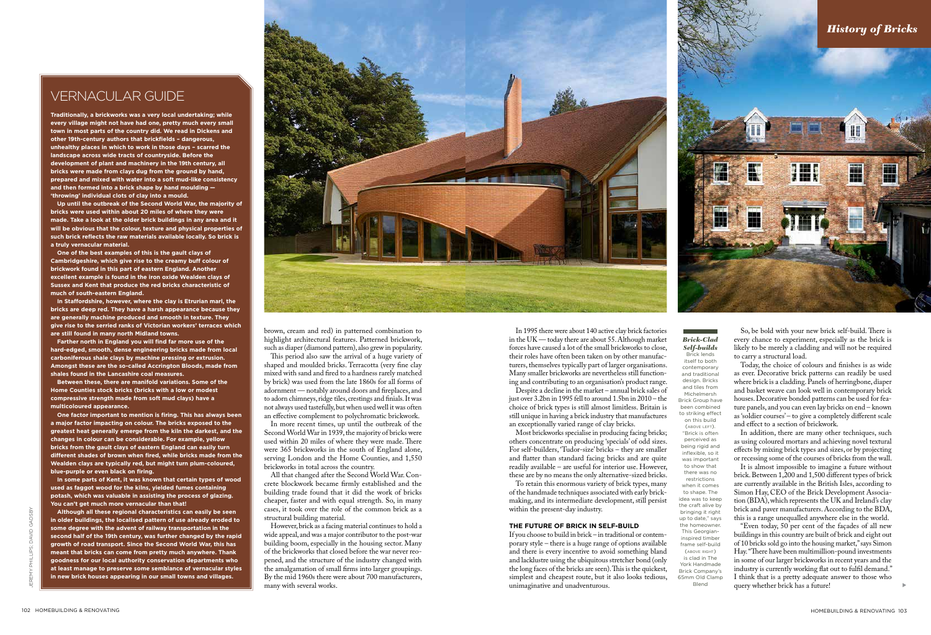s

*Brick-Clad Self-builds*  Brick lends itself to both contemporary and traditional design. Bricks and tiles from Michelmersh Brick Group have been combined to striking effect on this build (above left). "Brick is often perceived as being rigid and inflexible, so it was important to show that there was no restrictions when it comes to shape. The idea was to keep the craft alive by bringing it right up to date," says the homeowner. This Georgianinspired timber frame self-build (above right) is clad in The York Handmade Brick Company's 65mm Old Clamp Blend

**Traditionally, a brickworks was a very local undertaking; while every village might not have had one, pretty much every small town in most parts of the country did. We read in Dickens and other 19th-century authors that brickfields – dangerous, unhealthy places in which to work in those days – scarred the landscape across wide tracts of countryside. Before the development of plant and machinery in the 19th century, all bricks were made from clays dug from the ground by hand, prepared and mixed with water into a soft mud-like consistency and then formed into a brick shape by hand moulding — 'throwing' individual clots of clay into a mould.**

**Up until the outbreak of the Second World War, the majority of bricks were used within about 20 miles of where they were made. Take a look at the older brick buildings in any area and it will be obvious that the colour, texture and physical properties of such brick reflects the raw materials available locally. So brick is a truly vernacular material.**

**One of the best examples of this is the gault clays of Cambridgeshire, which give rise to the creamy buff colour of brickwork found in this part of eastern England. Another excellent example is found in the iron oxide Wealden clays of Sussex and Kent that produce the red bricks characteristic of much of south-eastern England.** 

**In Staffordshire, however, where the clay is Etrurian marl, the bricks are deep red. They have a harsh appearance because they are generally machine produced and smooth in texture. They give rise to the serried ranks of Victorian workers' terraces which are still found in many north Midland towns.**

**Farther north in England you will find far more use of the hard-edged, smooth, dense engineering bricks made from local carboniferous shale clays by machine pressing or extrusion. Amongst these are the so-called Accrington Bloods, made from shales found in the Lancashire coal measures.**

> In more recent times, up until the outbreak of the Second World War in 1939, the majority of bricks were used within 20 miles of where they were made. There were 365 brickworks in the south of England alone, serving London and the Home Counties, and 1,550 brickworks in total across the country.

**Between these, there are manifold variations. Some of the Home Counties stock bricks (bricks with a low or modest compressive strength made from soft mud clays) have a multicoloured appearance.**

**One factor important to mention is firing. This has always been a major factor impacting on colour. The bricks exposed to the greatest heat generally emerge from the kiln the darkest, and the changes in colour can be considerable. For example, yellow bricks from the gault clays of eastern England can easily turn different shades of brown when fired, while bricks made from the Wealden clays are typically red, but might turn plum-coloured, blue-purple or even black on firing.**

**In some parts of Kent, it was known that certain types of wood used as faggot wood for the kilns, yielded fumes containing potash, which was valuable in assisting the process of glazing. You can't get much more vernacular than that!**

**Although all these regional characteristics can easily be seen in older buildings, the localised pattern of use already eroded to some degree with the advent of railway transportation in the second half of the 19th century, was further changed by the rapid growth of road transport. Since the Second World War, this has meant that bricks can come from pretty much anywhere. Thank goodness for our local authority conservation departments who at least manage to preserve some semblance of vernacular styles in new brick houses appearing in our small towns and villages.**



## vernacular guide

brown, cream and red) in patterned combination to highlight architectural features. Patterned brickwork, such as diaper (diamond pattern), also grew in popularity.

This period also saw the arrival of a huge variety of shaped and moulded bricks. Terracotta (very fine clay mixed with sand and fired to a hardness rarely matched by brick) was used from the late 1860s for all forms of adornment — notably around doors and fireplaces, and to adorn chimneys, ridge tiles, crestings and finials. It was not always used tastefully, but when used well it was often an effective complement to polychromatic brickwork.

All that changed after the Second World War. Concrete blockwork became firmly established and the building trade found that it did the work of bricks cheaper, faster and with equal strength. So, in many cases, it took over the role of the common brick as a structural building material.

However, brick as a facing material continues to hold a wide appeal, and was a major contributor to the post-war building boom, especially in the housing sector. Many of the brickworks that closed before the war never reopened, and the structure of the industry changed with the amalgamation of small firms into larger groupings. By the mid 1960s there were about 700 manufacturers, many with several works.

In 1995 there were about 140 active clay brick factories in the UK — today there are about 55. Although market forces have caused a lot of the small brickworks to close, their roles have often been taken on by other manufacturers, themselves typically part of larger organisations. Many smaller brickworks are nevertheless still functioning and contributing to an organisation's product range.

Despite a decline in the market – annual brick sales of just over 3.2bn in 1995 fell to around 1.5bn in 2010 – the choice of brick types is still almost limitless. Britain is still unique in having a brick industry that manufactures an exceptionally varied range of clay bricks.

Most brickworks specialise in producing facing bricks; others concentrate on producing 'specials' of odd sizes. For self-builders, 'Tudor-size' bricks – they are smaller and flatter than standard facing bricks and are quite readily available – are useful for interior use. However, these are by no means the only alternative-sized bricks.

To retain this enormous variety of brick types, many of the handmade techniques associated with early brickmaking, and its intermediate development, still persist within the present-day industry.

#### **The future of brick in SELF-BUILD**

If you choose to build in brick – in traditional or contemporary style – there is a huge range of options available and there is every incentive to avoid something bland and lacklustre using the ubiquitous stretcher bond (only the long faces of the bricks are seen). This is the quickest, simplest and cheapest route, but it also looks tedious, unimaginative and unadventurous.

So, be bold with your new brick self-build. There is every chance to experiment, especially as the brick is likely to be merely a cladding and will not be required to carry a structural load.

Today, the choice of colours and finishes is as wide as ever. Decorative brick patterns can readily be used where brick is a cladding. Panels of herringbone, diaper and basket weave can look well in contemporary brick houses. Decorative bonded patterns can be used for feature panels, and you can even lay bricks on end – known as 'soldier courses' – to give a completely different scale and effect to a section of brickwork.

In addition, there are many other techniques, such as using coloured mortars and achieving novel textural effects by mixing brick types and sizes, or by projecting or recessing some of the courses of bricks from the wall.

It is almost impossible to imagine a future without brick. Between 1,200 and 1,500 different types of brick are currently available in the British Isles, according to Simon Hay, CEO of the Brick Development Association (BDA), which represents the UK and Ireland's clay brick and paver manufacturers. According to the BDA, this is a range unequalled anywhere else in the world.

"Even today, 50 per cent of the façades of all new buildings in this country are built of brick and eight out of 10 bricks sold go into the housing market," says Simon Hay. "There have been multimillion-pound investments in some of our larger brickworks in recent years and the industry is currently working flat out to fulfil demand." I think that is a pretty adequate answer to those who query whether brick has a future!

jeremy ph

illips; david gadsby

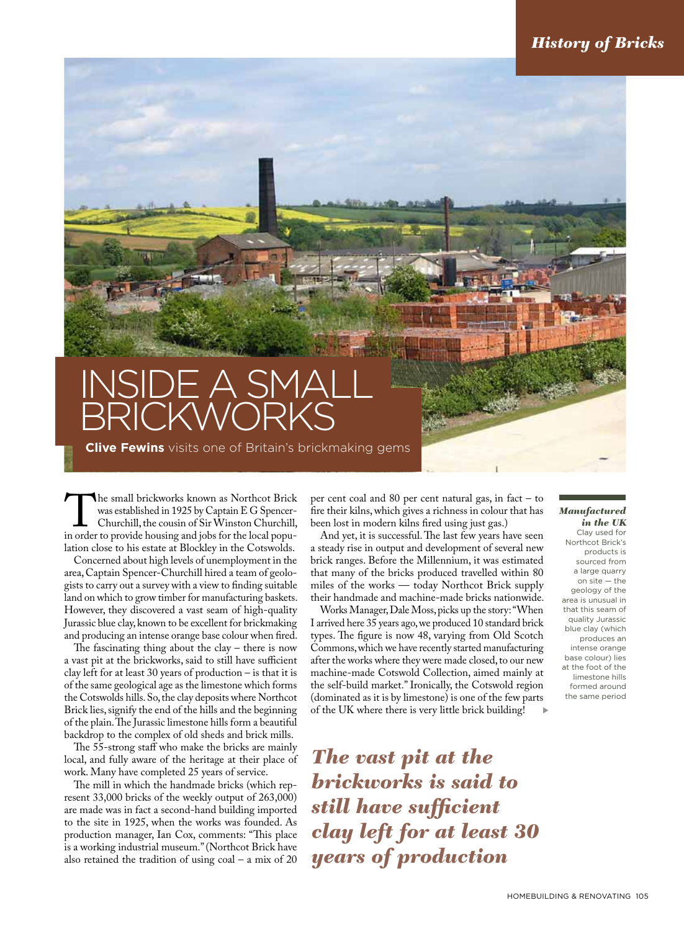## inside a small **BRICKWORKS**

**Clive Fewins** visits one of Britain's brickmaking gems

The small brickworks known as Northcot Brick<br>
was established in 1925 by Captain E G Spencer-<br>
Churchill, the cousin of Sir Winston Churchill,<br>
in order to provide housing and jobs for the local popuwas established in 1925 by Captain E G Spencer-Churchill, the cousin of Sir Winston Churchill, lation close to his estate at Blockley in the Cotswolds.

Concerned about high levels of unemployment in the area, Captain Spencer-Churchill hired a team of geologists to carry out a survey with a view to finding suitable land on which to grow timber for manufacturing baskets. However, they discovered a vast seam of high-quality Jurassic blue clay, known to be excellent for brickmaking and producing an intense orange base colour when fired.

The fascinating thing about the clay  $-$  there is now a vast pit at the brickworks, said to still have sufficient clay left for at least 30 years of production – is that it is of the same geological age as the limestone which forms the Cotswolds hills. So, the clay deposits where Northcot Brick lies, signify the end of the hills and the beginning of the plain. The Jurassic limestone hills form a beautiful backdrop to the complex of old sheds and brick mills.

The 55-strong staff who make the bricks are mainly local, and fully aware of the heritage at their place of work. Many have completed 25 years of service.

The mill in which the handmade bricks (which represent 33,000 bricks of the weekly output of 263,000) are made was in fact a second-hand building imported to the site in 1925, when the works was founded. As production manager, Ian Cox, comments: "This place is a working industrial museum." (Northcot Brick have also retained the tradition of using  $\cosh - a$  mix of 20

per cent coal and 80 per cent natural gas, in fact – to fire their kilns, which gives a richness in colour that has been lost in modern kilns fired using just gas.)

And yet, it is successful. The last few years have seen a steady rise in output and development of several new brick ranges. Before the Millennium, it was estimated that many of the bricks produced travelled within 80 miles of the works — today Northcot Brick supply their handmade and machine-made bricks nationwide.

s Works Manager, Dale Moss, picks up the story: "When I arrived here 35 years ago, we produced 10 standard brick types. The figure is now 48, varying from Old Scotch Commons, which we have recently started manufacturing after the works where they were made closed, to our new machine-made Cotswold Collection, aimed mainly at the self-build market." Ironically, the Cotswold region (dominated as it is by limestone) is one of the few parts of the UK where there is very little brick building!

*The vast pit at the brickworks is said to still have sufficient clay left for at least 30 years of production*

#### *Manufactured in the UK*

Clay used for Northcot Brick's products is sourced from a large quarry on site — the geology of the area is unusual in that this seam of quality Jurassic blue clay (which produces an intense orange base colour) lies at the foot of the limestone hills formed around the same period